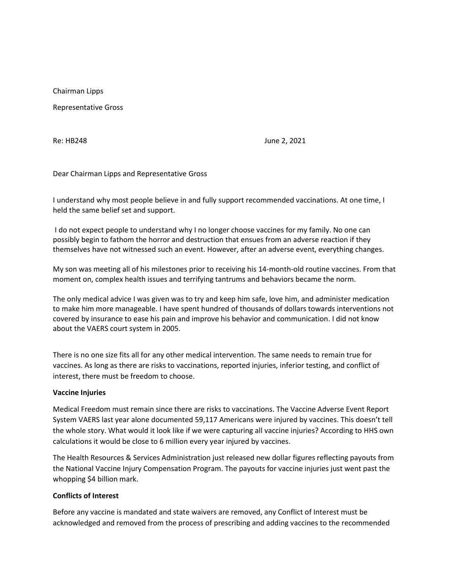Chairman Lipps

Representative Gross

Re: HB248 June 2, 2021

Dear Chairman Lipps and Representative Gross

I understand why most people believe in and fully support recommended vaccinations. At one time, I held the same belief set and support.

I do not expect people to understand why I no longer choose vaccines for my family. No one can possibly begin to fathom the horror and destruction that ensues from an adverse reaction if they themselves have not witnessed such an event. However, after an adverse event, everything changes.

My son was meeting all of his milestones prior to receiving his 14-month-old routine vaccines. From that moment on, complex health issues and terrifying tantrums and behaviors became the norm.

The only medical advice I was given was to try and keep him safe, love him, and administer medication to make him more manageable. I have spent hundred of thousands of dollars towards interventions not covered by insurance to ease his pain and improve his behavior and communication. I did not know about the VAERS court system in 2005.

There is no one size fits all for any other medical intervention. The same needs to remain true for vaccines. As long as there are risks to vaccinations, reported injuries, inferior testing, and conflict of interest, there must be freedom to choose.

## **Vaccine Injuries**

Medical Freedom must remain since there are risks to vaccinations. The Vaccine Adverse Event Report System VAERS last year alone documented 59,117 Americans were injured by vaccines. This doesn't tell the whole story. What would it look like if we were capturing all vaccine injuries? According to HHS own calculations it would be close to 6 million every year injured by vaccines.

The Health Resources & Services Administration just released new dollar figures reflecting payouts from the National Vaccine Injury Compensation Program. The payouts for vaccine injuries just went past the whopping \$4 billion mark.

## **Conflicts of Interest**

Before any vaccine is mandated and state waivers are removed, any Conflict of Interest must be acknowledged and removed from the process of prescribing and adding vaccines to the recommended